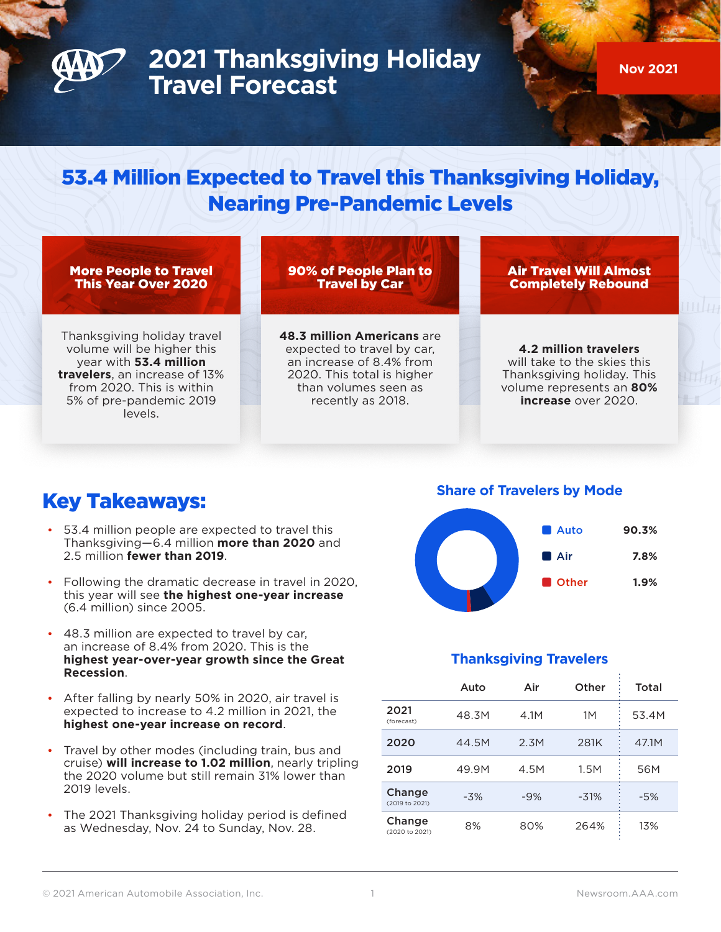

# **2021 Thanksgiving Holiday Travel Forecast**

**Nov 2021**

# 53.4 Million Expected to Travel this Thanksgiving Holiday, Nearing Pre-Pandemic Levels

#### More People to Travel This Year Over 2020

90% of People Plan to Travel by Car

Air Travel Will Almost Completely Rebound

Thanksgiving holiday travel volume will be higher this year with **53.4 million travelers**, an increase of 13% from 2020. This is within 5% of pre-pandemic 2019 levels.

#### **48.3 million Americans** are expected to travel by car, an increase of 8.4% from 2020. This total is higher than volumes seen as recently as 2018.

**4.2 million travelers** will take to the skies this Thanksgiving holiday. This volume represents an **80% increase** over 2020.

## Key Takeaways:

- 53.4 million people are expected to travel this Thanksgiving—6.4 million **more than 2020** and 2.5 million **fewer than 2019**.
- Following the dramatic decrease in travel in 2020, this year will see **the highest one-year increase** (6.4 million) since 2005.
- 48.3 million are expected to travel by car, an increase of 8.4% from 2020. This is the **highest year-over-year growth since the Great Recession**.
- After falling by nearly 50% in 2020, air travel is expected to increase to 4.2 million in 2021, the **highest one-year increase on record**.
- Travel by other modes (including train, bus and cruise) **will increase to 1.02 million**, nearly tripling the 2020 volume but still remain 31% lower than 2019 levels.
- The 2021 Thanksgiving holiday period is defined as Wednesday, Nov. 24 to Sunday, Nov. 28.

**Share of Travelers by Mode**



### **Thanksgiving Travelers**

|                          | Auto  | Air   | Other  | Total |
|--------------------------|-------|-------|--------|-------|
| 2021<br>(forecast)       | 48.3M | 4.1M  | 1Μ     | 53.4M |
| 2020                     | 44.5M | 2.3M  | 281K   | 47.1M |
| 2019                     | 49.9M | 4.5M  | 1.5M   | 56M   |
| Change<br>(2019 to 2021) | $-3%$ | $-9%$ | $-31%$ | $-5%$ |
| Change<br>(2020 to 2021) | 8%    | 80%   | 264%   | 13%   |